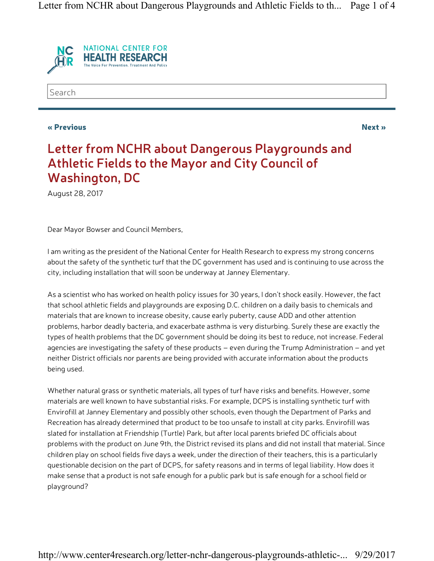

Search

#### « Previous Next »

## Letter from NCHR about Dangerous Playgrounds and Athletic Fields to the Mayor and City Council of Washington, DC

August 28, 2017

Dear Mayor Bowser and Council Members,

I am writing as the president of the National Center for Health Research to express my strong concerns about the safety of the synthetic turf that the DC government has used and is continuing to use across the city, including installation that will soon be underway at Janney Elementary.

As a scientist who has worked on health policy issues for 30 years, I don't shock easily. However, the fact that school athletic fields and playgrounds are exposing D.C. children on a daily basis to chemicals and materials that are known to increase obesity, cause early puberty, cause ADD and other attention problems, harbor deadly bacteria, and exacerbate asthma is very disturbing. Surely these are exactly the types of health problems that the DC government should be doing its best to reduce, not increase. Federal agencies are investigating the safety of these products – even during the Trump Administration – and yet neither District officials nor parents are being provided with accurate information about the products being used.

Whether natural grass or synthetic materials, all types of turf have risks and benefits. However, some materials are well known to have substantial risks. For example, DCPS is installing synthetic turf with Envirofill at Janney Elementary and possibly other schools, even though the Department of Parks and Recreation has already determined that product to be too unsafe to install at city parks. Envirofill was slated for installation at Friendship (Turtle) Park, but after local parents briefed DC officials about problems with the product on June 9th, the District revised its plans and did not install that material. Since children play on school fields five days a week, under the direction of their teachers, this is a particularly questionable decision on the part of DCPS, for safety reasons and in terms of legal liability. How does it make sense that a product is not safe enough for a public park but is safe enough for a school field or playground?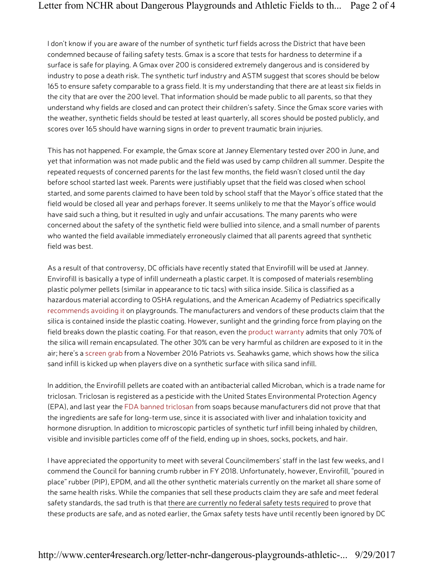I don't know if you are aware of the number of synthetic turf fields across the District that have been condemned because of failing safety tests. Gmax is a score that tests for hardness to determine if a surface is safe for playing. A Gmax over 200 is considered extremely dangerous and is considered by industry to pose a death risk. The synthetic turf industry and ASTM suggest that scores should be below 165 to ensure safety comparable to a grass field. It is my understanding that there are at least six fields in the city that are over the 200 level. That information should be made public to all parents, so that they understand why fields are closed and can protect their children's safety. Since the Gmax score varies with the weather, synthetic fields should be tested at least quarterly, all scores should be posted publicly, and scores over 165 should have warning signs in order to prevent traumatic brain injuries.

This has not happened. For example, the Gmax score at Janney Elementary tested over 200 in June, and yet that information was not made public and the field was used by camp children all summer. Despite the repeated requests of concerned parents for the last few months, the field wasn't closed until the day before school started last week. Parents were justifiably upset that the field was closed when school started, and some parents claimed to have been told by school staff that the Mayor's office stated that the field would be closed all year and perhaps forever. It seems unlikely to me that the Mayor's office would have said such a thing, but it resulted in ugly and unfair accusations. The many parents who were concerned about the safety of the synthetic field were bullied into silence, and a small number of parents who wanted the field available immediately erroneously claimed that all parents agreed that synthetic field was best.

As a result of that controversy, DC officials have recently stated that Envirofill will be used at Janney. Envirofill is basically a type of infill underneath a plastic carpet. It is composed of materials resembling plastic polymer pellets (similar in appearance to tic tacs) with silica inside. Silica is classified as a hazardous material according to OSHA regulations, and the American Academy of Pediatrics specifically recommends avoiding it on playgrounds. The manufacturers and vendors of these products claim that the silica is contained inside the plastic coating. However, sunlight and the grinding force from playing on the field breaks down the plastic coating. For that reason, even the product warranty admits that only 70% of the silica will remain encapsulated. The other 30% can be very harmful as children are exposed to it in the air; here's a screen grab from a November 2016 Patriots vs. Seahawks game, which shows how the silica sand infill is kicked up when players dive on a synthetic surface with silica sand infill.

In addition, the Envirofill pellets are coated with an antibacterial called Microban, which is a trade name for triclosan. Triclosan is registered as a pesticide with the United States Environmental Protection Agency (EPA), and last year the FDA banned triclosan from soaps because manufacturers did not prove that that the ingredients are safe for long-term use, since it is associated with liver and inhalation toxicity and hormone disruption. In addition to microscopic particles of synthetic turf infill being inhaled by children, visible and invisible particles come off of the field, ending up in shoes, socks, pockets, and hair.

I have appreciated the opportunity to meet with several Councilmembers' staff in the last few weeks, and I commend the Council for banning crumb rubber in FY 2018. Unfortunately, however, Envirofill, "poured in place" rubber (PIP), EPDM, and all the other synthetic materials currently on the market all share some of the same health risks. While the companies that sell these products claim they are safe and meet federal safety standards, the sad truth is that there are currently no federal safety tests required to prove that these products are safe, and as noted earlier, the Gmax safety tests have until recently been ignored by DC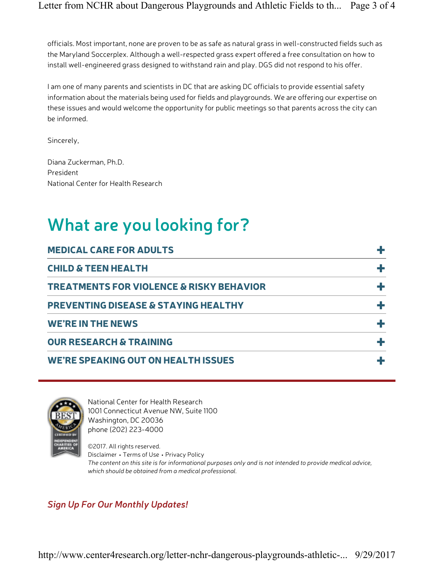officials. Most important, none are proven to be as safe as natural grass in well-constructed fields such as the Maryland Soccerplex. Although a well-respected grass expert offered a free consultation on how to install well-engineered grass designed to withstand rain and play. DGS did not respond to his offer.

I am one of many parents and scientists in DC that are asking DC officials to provide essential safety information about the materials being used for fields and playgrounds. We are offering our expertise on these issues and would welcome the opportunity for public meetings so that parents across the city can be informed.

Sincerely,

Diana Zuckerman, Ph.D. President National Center for Health Research

# What are you looking for?

| <b>MEDICAL CARE FOR ADULTS</b>                      |  |
|-----------------------------------------------------|--|
| <b>CHILD &amp; TEEN HEALTH</b>                      |  |
| <b>TREATMENTS FOR VIOLENCE &amp; RISKY BEHAVIOR</b> |  |
| <b>PREVENTING DISEASE &amp; STAYING HEALTHY</b>     |  |
| <b>WE'RE IN THE NEWS</b>                            |  |
| <b>OUR RESEARCH &amp; TRAINING</b>                  |  |
| <b>WE'RE SPEAKING OUT ON HEALTH ISSUES</b>          |  |



National Center for Health Research 1001 Connecticut Avenue NW, Suite 1100 Washington, DC 20036 phone (202) 223-4000

©2017. All rights reserved. Disclaimer • Terms of Use • Privacy Policy The content on this site is for informational purposes only and is not intended to provide medical advice, which should be obtained from a medical professional.

## Sign Up For Our Monthly Updates!